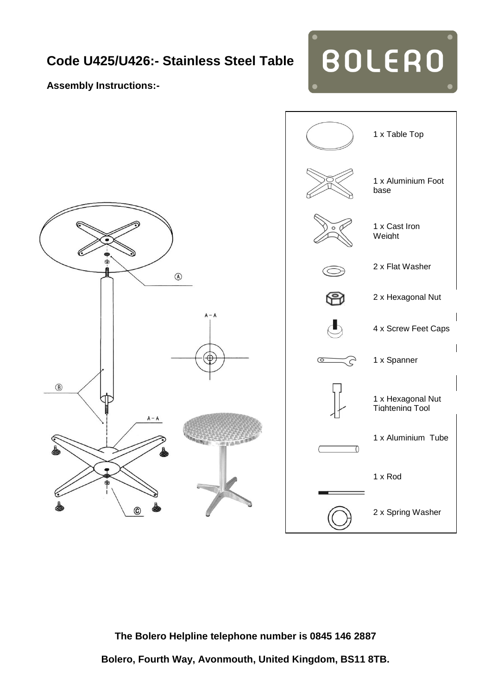## **Code U425/U426:- Stainless Steel Table**

**Assembly Instructions:-**



**BOLERO** 



**The Bolero Helpline telephone number is 0845 146 2887**

**Bolero, Fourth Way, Avonmouth, United Kingdom, BS11 8TB.**